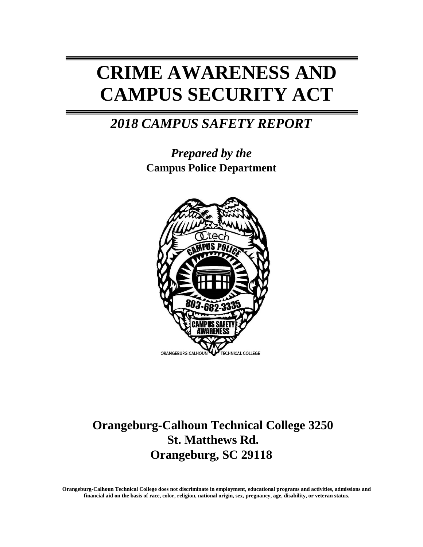# **CRIME AWARENESS AND CAMPUS SECURITY ACT**

# *2018 CAMPUS SAFETY REPORT*

*Prepared by the*  **Campus Police Department**



## **Orangeburg-Calhoun Technical College 3250 St. Matthews Rd. Orangeburg, SC 29118**

**Orangeburg-Calhoun Technical College does not discriminate in employment, educational programs and activities, admissions and financial aid on the basis of race, color, religion, national origin, sex, pregnancy, age, disability, or veteran status.**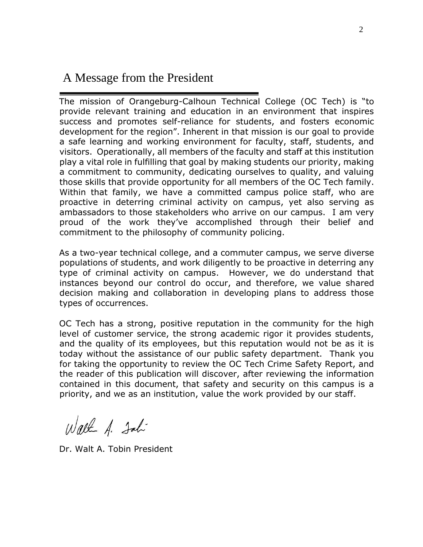### A Message from the President

The mission of Orangeburg-Calhoun Technical College (OC Tech) is "to provide relevant training and education in an environment that inspires success and promotes self-reliance for students, and fosters economic development for the region". Inherent in that mission is our goal to provide a safe learning and working environment for faculty, staff, students, and visitors. Operationally, all members of the faculty and staff at this institution play a vital role in fulfilling that goal by making students our priority, making a commitment to community, dedicating ourselves to quality, and valuing those skills that provide opportunity for all members of the OC Tech family. Within that family, we have a committed campus police staff, who are proactive in deterring criminal activity on campus, yet also serving as ambassadors to those stakeholders who arrive on our campus. I am very proud of the work they've accomplished through their belief and commitment to the philosophy of community policing.

As a two-year technical college, and a commuter campus, we serve diverse populations of students, and work diligently to be proactive in deterring any type of criminal activity on campus. However, we do understand that instances beyond our control do occur, and therefore, we value shared decision making and collaboration in developing plans to address those types of occurrences.

OC Tech has a strong, positive reputation in the community for the high level of customer service, the strong academic rigor it provides students, and the quality of its employees, but this reputation would not be as it is today without the assistance of our public safety department. Thank you for taking the opportunity to review the OC Tech Crime Safety Report, and the reader of this publication will discover, after reviewing the information contained in this document, that safety and security on this campus is a priority, and we as an institution, value the work provided by our staff.

Walk A. John

Dr. Walt A. Tobin President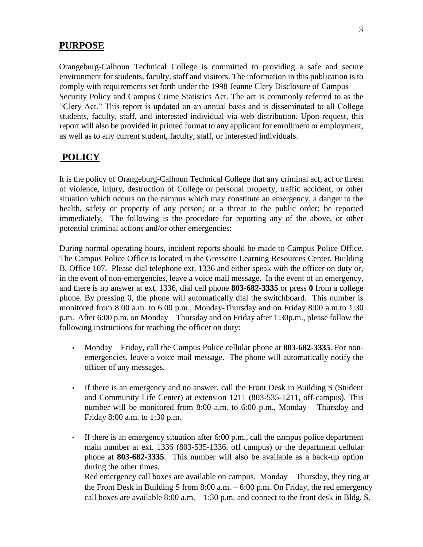### **PURPOSE**

Orangeburg-Calhoun Technical College is committed to providing a safe and secure environment for students, faculty, staff and visitors. The information in this publication is to comply with requirements set forth under the 1998 Jeanne Clery Disclosure of Campus Security Policy and Campus Crime Statistics Act. The act is commonly referred to as the "Clery Act." This report is updated on an annual basis and is disseminated to all College students, faculty, staff, and interested individual via web distribution. Upon request, this report will also be provided in printed format to any applicant for enrollment or employment, as well as to any current student, faculty, staff, or interested individuals.

### **POLICY**

It is the policy of Orangeburg-Calhoun Technical College that any criminal act, act or threat of violence, injury, destruction of College or personal property, traffic accident, or other situation which occurs on the campus which may constitute an emergency, a danger to the health, safety or property of any person; or a threat to the public order; be reported immediately. The following is the procedure for reporting any of the above, or other potential criminal actions and/or other emergencies:

During normal operating hours, incident reports should be made to Campus Police Office. The Campus Police Office is located in the Gressette Learning Resources Center, Building B, Office 107. Please dial telephone ext. 1336 and either speak with the officer on duty or, in the event of non-emergencies, leave a voice mail message. In the event of an emergency, and there is no answer at ext. 1336, dial cell phone **803-682-3335** or press **0** from a college phone. By pressing 0, the phone will automatically dial the switchboard. This number is monitored from 8:00 a.m. to 6:00 p.m., Monday-Thursday and on Friday 8:00 a.m.to 1:30 p.m. After 6:00 p.m. on Monday – Thursday and on Friday after 1:30p.m., please follow the following instructions for reaching the officer on duty:

- Monday Friday, call the Campus Police cellular phone at **803-682-3335**. For nonemergencies, leave a voice mail message. The phone will automatically notify the officer of any messages.
- If there is an emergency and no answer, call the Front Desk in Building S (Student and Community Life Center) at extension 1211 (803-535-1211, off-campus). This number will be monitored from 8:00 a.m. to 6:00 p.m., Monday – Thursday and Friday 8:00 a.m. to 1:30 p.m.
- If there is an emergency situation after 6:00 p.m., call the campus police department main number at ext. 1336 (803-535-1336, off campus) or the department cellular phone at **803-682-3335**. This number will also be available as a back-up option during the other times. Red emergency call boxes are available on campus. Monday – Thursday, they ring at the Front Desk in Building S from 8:00 a.m. – 6:00 p.m. On Friday, the red emergency call boxes are available  $8:00$  a.m.  $-1:30$  p.m. and connect to the front desk in Bldg. S.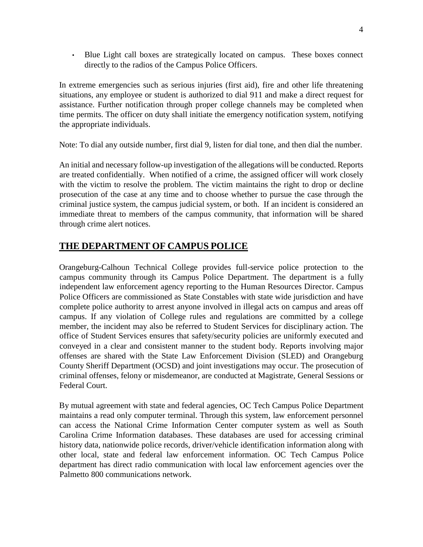• Blue Light call boxes are strategically located on campus. These boxes connect directly to the radios of the Campus Police Officers.

In extreme emergencies such as serious injuries (first aid), fire and other life threatening situations, any employee or student is authorized to dial 911 and make a direct request for assistance. Further notification through proper college channels may be completed when time permits. The officer on duty shall initiate the emergency notification system, notifying the appropriate individuals.

Note: To dial any outside number, first dial 9, listen for dial tone, and then dial the number.

An initial and necessary follow-up investigation of the allegations will be conducted. Reports are treated confidentially. When notified of a crime, the assigned officer will work closely with the victim to resolve the problem. The victim maintains the right to drop or decline prosecution of the case at any time and to choose whether to pursue the case through the criminal justice system, the campus judicial system, or both. If an incident is considered an immediate threat to members of the campus community, that information will be shared through crime alert notices.

### **THE DEPARTMENT OF CAMPUS POLICE**

Orangeburg-Calhoun Technical College provides full-service police protection to the campus community through its Campus Police Department. The department is a fully independent law enforcement agency reporting to the Human Resources Director. Campus Police Officers are commissioned as State Constables with state wide jurisdiction and have complete police authority to arrest anyone involved in illegal acts on campus and areas off campus. If any violation of College rules and regulations are committed by a college member, the incident may also be referred to Student Services for disciplinary action. The office of Student Services ensures that safety/security policies are uniformly executed and conveyed in a clear and consistent manner to the student body. Reports involving major offenses are shared with the State Law Enforcement Division (SLED) and Orangeburg County Sheriff Department (OCSD) and joint investigations may occur. The prosecution of criminal offenses, felony or misdemeanor, are conducted at Magistrate, General Sessions or Federal Court.

By mutual agreement with state and federal agencies, OC Tech Campus Police Department maintains a read only computer terminal. Through this system, law enforcement personnel can access the National Crime Information Center computer system as well as South Carolina Crime Information databases. These databases are used for accessing criminal history data, nationwide police records, driver/vehicle identification information along with other local, state and federal law enforcement information. OC Tech Campus Police department has direct radio communication with local law enforcement agencies over the Palmetto 800 communications network.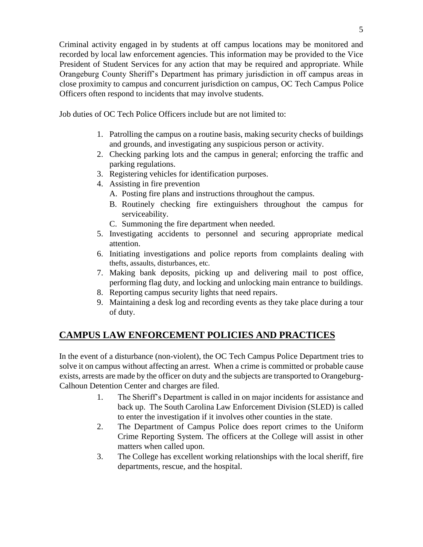Criminal activity engaged in by students at off campus locations may be monitored and recorded by local law enforcement agencies. This information may be provided to the Vice President of Student Services for any action that may be required and appropriate. While Orangeburg County Sheriff's Department has primary jurisdiction in off campus areas in close proximity to campus and concurrent jurisdiction on campus, OC Tech Campus Police Officers often respond to incidents that may involve students.

Job duties of OC Tech Police Officers include but are not limited to:

- 1. Patrolling the campus on a routine basis, making security checks of buildings and grounds, and investigating any suspicious person or activity.
- 2. Checking parking lots and the campus in general; enforcing the traffic and parking regulations.
- 3. Registering vehicles for identification purposes.
- 4. Assisting in fire prevention
	- A. Posting fire plans and instructions throughout the campus.
	- B. Routinely checking fire extinguishers throughout the campus for serviceability.
	- C. Summoning the fire department when needed.
- 5. Investigating accidents to personnel and securing appropriate medical attention.
- 6. Initiating investigations and police reports from complaints dealing with thefts, assaults, disturbances, etc.
- 7. Making bank deposits, picking up and delivering mail to post office, performing flag duty, and locking and unlocking main entrance to buildings.
- 8. Reporting campus security lights that need repairs.
- 9. Maintaining a desk log and recording events as they take place during a tour of duty.

### **CAMPUS LAW ENFORCEMENT POLICIES AND PRACTICES**

In the event of a disturbance (non-violent), the OC Tech Campus Police Department tries to solve it on campus without affecting an arrest. When a crime is committed or probable cause exists, arrests are made by the officer on duty and the subjects are transported to Orangeburg-Calhoun Detention Center and charges are filed.

- 1. The Sheriff's Department is called in on major incidents for assistance and back up. The South Carolina Law Enforcement Division (SLED) is called to enter the investigation if it involves other counties in the state.
- 2. The Department of Campus Police does report crimes to the Uniform Crime Reporting System. The officers at the College will assist in other matters when called upon.
- 3. The College has excellent working relationships with the local sheriff, fire departments, rescue, and the hospital.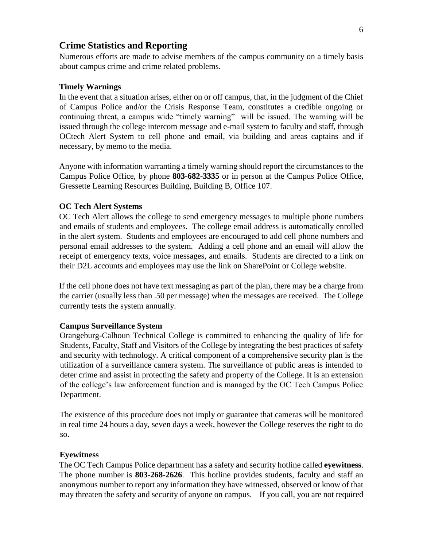### **Crime Statistics and Reporting**

Numerous efforts are made to advise members of the campus community on a timely basis about campus crime and crime related problems.

#### **Timely Warnings**

In the event that a situation arises, either on or off campus, that, in the judgment of the Chief of Campus Police and/or the Crisis Response Team, constitutes a credible ongoing or continuing threat, a campus wide "timely warning" will be issued. The warning will be issued through the college intercom message and e-mail system to faculty and staff, through OCtech Alert System to cell phone and email, via building and areas captains and if necessary, by memo to the media.

Anyone with information warranting a timely warning should report the circumstances to the Campus Police Office, by phone **803-682-3335** or in person at the Campus Police Office, Gressette Learning Resources Building, Building B, Office 107.

#### **OC Tech Alert Systems**

OC Tech Alert allows the college to send emergency messages to multiple phone numbers and emails of students and employees. The college email address is automatically enrolled in the alert system. Students and employees are encouraged to add cell phone numbers and personal email addresses to the system. Adding a cell phone and an email will allow the receipt of emergency texts, voice messages, and emails. Students are directed to a link on their D2L accounts and employees may use the link on SharePoint or College website.

If the cell phone does not have text messaging as part of the plan, there may be a charge from the carrier (usually less than .50 per message) when the messages are received. The College currently tests the system annually.

#### **Campus Surveillance System**

Orangeburg-Calhoun Technical College is committed to enhancing the quality of life for Students, Faculty, Staff and Visitors of the College by integrating the best practices of safety and security with technology. A critical component of a comprehensive security plan is the utilization of a surveillance camera system. The surveillance of public areas is intended to deter crime and assist in protecting the safety and property of the College. It is an extension of the college's law enforcement function and is managed by the OC Tech Campus Police Department.

The existence of this procedure does not imply or guarantee that cameras will be monitored in real time 24 hours a day, seven days a week, however the College reserves the right to do so.

#### **Eyewitness**

The OC Tech Campus Police department has a safety and security hotline called **eyewitness**. The phone number is **803-268-2626**. This hotline provides students, faculty and staff an anonymous number to report any information they have witnessed, observed or know of that may threaten the safety and security of anyone on campus. If you call, you are not required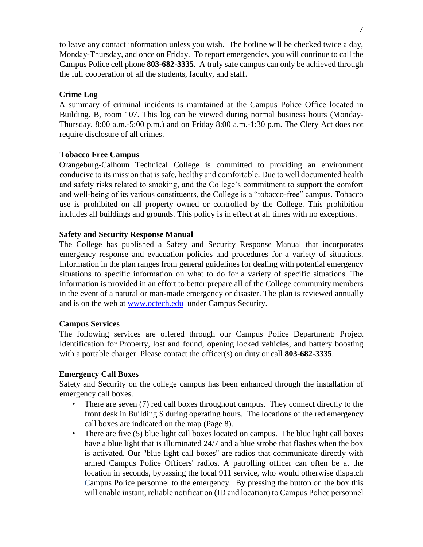to leave any contact information unless you wish. The hotline will be checked twice a day, Monday-Thursday, and once on Friday. To report emergencies, you will continue to call the Campus Police cell phone **803-682-3335**. A truly safe campus can only be achieved through the full cooperation of all the students, faculty, and staff.

### **Crime Log**

A summary of criminal incidents is maintained at the Campus Police Office located in Building. B, room 107. This log can be viewed during normal business hours (Monday-Thursday, 8:00 a.m.-5:00 p.m.) and on Friday 8:00 a.m.-1:30 p.m. The Clery Act does not require disclosure of all crimes.

### **Tobacco Free Campus**

Orangeburg-Calhoun Technical College is committed to providing an environment conducive to its mission that is safe, healthy and comfortable. Due to well documented health and safety risks related to smoking, and the College's commitment to support the comfort and well-being of its various constituents, the College is a "tobacco-free" campus. Tobacco use is prohibited on all property owned or controlled by the College. This prohibition includes all buildings and grounds. This policy is in effect at all times with no exceptions.

### **Safety and Security Response Manual**

The College has published a Safety and Security Response Manual that incorporates emergency response and evacuation policies and procedures for a variety of situations. Information in the plan ranges from general guidelines for dealing with potential emergency situations to specific information on what to do for a variety of specific situations. The information is provided in an effort to better prepare all of the College community members in the event of a natural or man-made emergency or disaster. The plan is reviewed annually and is on the web at [www.octech.edu](http://www.octech.edu/) under Campus Security.

### **Campus Services**

The following services are offered through our Campus Police Department: Project Identification for Property, lost and found, opening locked vehicles, and battery boosting with a portable charger. Please contact the officer(s) on duty or call **803-682-3335**.

### **Emergency Call Boxes**

Safety and Security on the college campus has been enhanced through the installation of emergency call boxes.

- There are seven (7) red call boxes throughout campus. They connect directly to the front desk in Building S during operating hours. The locations of the red emergency call boxes are indicated on the map (Page 8).
- There are five (5) blue light call boxes located on campus. The blue light call boxes have a blue light that is illuminated 24/7 and a blue strobe that flashes when the box is activated. Our "blue light call boxes" are radios that communicate directly with armed Campus Police Officers' radios. A patrolling officer can often be at the location in seconds, bypassing the local 911 service, who would otherwise dispatch Campus Police personnel to the emergency. By pressing the button on the box this will enable instant, reliable notification (ID and location) to Campus Police personnel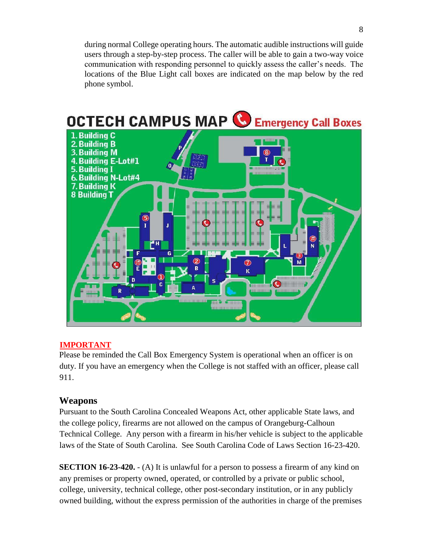during normal College operating hours. The automatic audible instructions will guide users through a step-by-step process. The caller will be able to gain a two-way voice communication with responding personnel to quickly assess the caller's needs. The locations of the Blue Light call boxes are indicated on the map below by the red phone symbol.



### **IMPORTANT**

Please be reminded the Call Box Emergency System is operational when an officer is on duty. If you have an emergency when the College is not staffed with an officer, please call 911.

### **Weapons**

Pursuant to the South Carolina Concealed Weapons Act, other applicable State laws, and the college policy, firearms are not allowed on the campus of Orangeburg-Calhoun Technical College. Any person with a firearm in his/her vehicle is subject to the applicable laws of the State of South Carolina. See South Carolina Code of Laws Section 16-23-420.

**SECTION 16-23-420.** - (A) It is unlawful for a person to possess a firearm of any kind on any premises or property owned, operated, or controlled by a private or public school, college, university, technical college, other post-secondary institution, or in any publicly owned building, without the express permission of the authorities in charge of the premises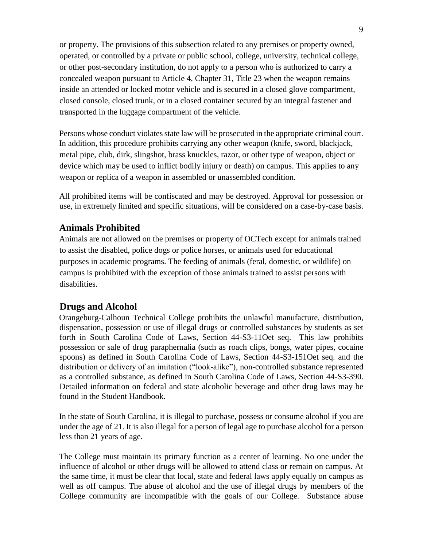or property. The provisions of this subsection related to any premises or property owned, operated, or controlled by a private or public school, college, university, technical college, or other post-secondary institution, do not apply to a person who is authorized to carry a concealed weapon pursuant to Article 4, Chapter 31, Title 23 when the weapon remains inside an attended or locked motor vehicle and is secured in a closed glove compartment, closed console, closed trunk, or in a closed container secured by an integral fastener and transported in the luggage compartment of the vehicle.

Persons whose conduct violates state law will be prosecuted in the appropriate criminal court. In addition, this procedure prohibits carrying any other weapon (knife, sword, blackjack, metal pipe, club, dirk, slingshot, brass knuckles, razor, or other type of weapon, object or device which may be used to inflict bodily injury or death) on campus. This applies to any weapon or replica of a weapon in assembled or unassembled condition.

All prohibited items will be confiscated and may be destroyed. Approval for possession or use, in extremely limited and specific situations, will be considered on a case-by-case basis.

### **Animals Prohibited**

Animals are not allowed on the premises or property of OCTech except for animals trained to assist the disabled, police dogs or police horses, or animals used for educational purposes in academic programs. The feeding of animals (feral, domestic, or wildlife) on campus is prohibited with the exception of those animals trained to assist persons with disabilities.

### **Drugs and Alcohol**

Orangeburg-Calhoun Technical College prohibits the unlawful manufacture, distribution, dispensation, possession or use of illegal drugs or controlled substances by students as set forth in South Carolina Code of Laws, Section 44-S3-11Oet seq. This law prohibits possession or sale of drug paraphernalia (such as roach clips, bongs, water pipes, cocaine spoons) as defined in South Carolina Code of Laws, Section 44-S3-151Oet seq. and the distribution or delivery of an imitation ("look-alike"), non-controlled substance represented as a controlled substance, as defined in South Carolina Code of Laws, Section 44-S3-390. Detailed information on federal and state alcoholic beverage and other drug laws may be found in the Student Handbook.

In the state of South Carolina, it is illegal to purchase, possess or consume alcohol if you are under the age of 21. It is also illegal for a person of legal age to purchase alcohol for a person less than 21 years of age.

The College must maintain its primary function as a center of learning. No one under the influence of alcohol or other drugs will be allowed to attend class or remain on campus. At the same time, it must be clear that local, state and federal laws apply equally on campus as well as off campus. The abuse of alcohol and the use of illegal drugs by members of the College community are incompatible with the goals of our College. Substance abuse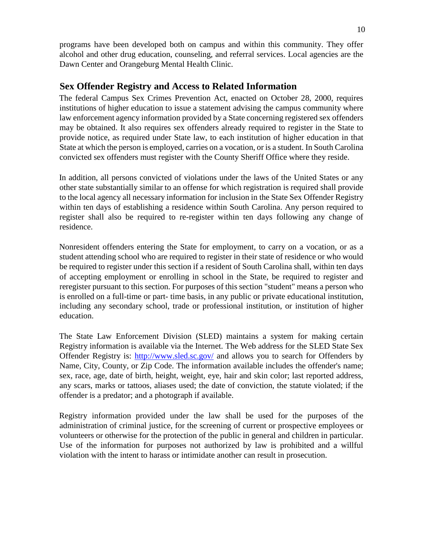programs have been developed both on campus and within this community. They offer alcohol and other drug education, counseling, and referral services. Local agencies are the Dawn Center and Orangeburg Mental Health Clinic.

### **Sex Offender Registry and Access to Related Information**

The federal Campus Sex Crimes Prevention Act, enacted on October 28, 2000, requires institutions of higher education to issue a statement advising the campus community where law enforcement agency information provided by a State concerning registered sex offenders may be obtained. It also requires sex offenders already required to register in the State to provide notice, as required under State law, to each institution of higher education in that State at which the person is employed, carries on a vocation, or is a student. In South Carolina convicted sex offenders must register with the County Sheriff Office where they reside.

In addition, all persons convicted of violations under the laws of the United States or any other state substantially similar to an offense for which registration is required shall provide to the local agency all necessary information for inclusion in the State Sex Offender Registry within ten days of establishing a residence within South Carolina. Any person required to register shall also be required to re-register within ten days following any change of residence.

Nonresident offenders entering the State for employment, to carry on a vocation, or as a student attending school who are required to register in their state of residence or who would be required to register under this section if a resident of South Carolina shall, within ten days of accepting employment or enrolling in school in the State, be required to register and reregister pursuant to this section. For purposes of this section "student" means a person who is enrolled on a full-time or part- time basis, in any public or private educational institution, including any secondary school, trade or professional institution, or institution of higher education.

The State Law Enforcement Division (SLED) maintains a system for making certain Registry information is available via the Internet. The Web address for the SLED State Sex Offender Registry is:<http://www.sled.sc.gov/> and allows you to search for Offenders by Name, City, County, or Zip Code. The information available includes the offender's name; sex, race, age, date of birth, height, weight, eye, hair and skin color; last reported address, any scars, marks or tattoos, aliases used; the date of conviction, the statute violated; if the offender is a predator; and a photograph if available.

Registry information provided under the law shall be used for the purposes of the administration of criminal justice, for the screening of current or prospective employees or volunteers or otherwise for the protection of the public in general and children in particular. Use of the information for purposes not authorized by law is prohibited and a willful violation with the intent to harass or intimidate another can result in prosecution.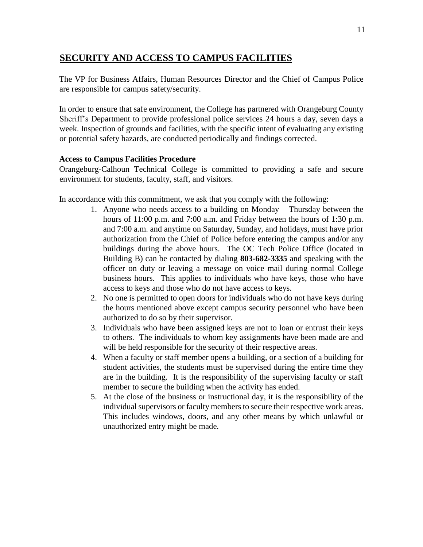### **SECURITY AND ACCESS TO CAMPUS FACILITIES**

The VP for Business Affairs, Human Resources Director and the Chief of Campus Police are responsible for campus safety/security.

In order to ensure that safe environment, the College has partnered with Orangeburg County Sheriff's Department to provide professional police services 24 hours a day, seven days a week. Inspection of grounds and facilities, with the specific intent of evaluating any existing or potential safety hazards, are conducted periodically and findings corrected.

### **Access to Campus Facilities Procedure**

Orangeburg-Calhoun Technical College is committed to providing a safe and secure environment for students, faculty, staff, and visitors.

In accordance with this commitment, we ask that you comply with the following:

- 1. Anyone who needs access to a building on Monday Thursday between the hours of 11:00 p.m. and 7:00 a.m. and Friday between the hours of 1:30 p.m. and 7:00 a.m. and anytime on Saturday, Sunday, and holidays, must have prior authorization from the Chief of Police before entering the campus and/or any buildings during the above hours. The OC Tech Police Office (located in Building B) can be contacted by dialing **803-682-3335** and speaking with the officer on duty or leaving a message on voice mail during normal College business hours. This applies to individuals who have keys, those who have access to keys and those who do not have access to keys.
- 2. No one is permitted to open doors for individuals who do not have keys during the hours mentioned above except campus security personnel who have been authorized to do so by their supervisor.
- 3. Individuals who have been assigned keys are not to loan or entrust their keys to others. The individuals to whom key assignments have been made are and will be held responsible for the security of their respective areas.
- 4. When a faculty or staff member opens a building, or a section of a building for student activities, the students must be supervised during the entire time they are in the building. It is the responsibility of the supervising faculty or staff member to secure the building when the activity has ended.
- 5. At the close of the business or instructional day, it is the responsibility of the individual supervisors or faculty members to secure their respective work areas. This includes windows, doors, and any other means by which unlawful or unauthorized entry might be made.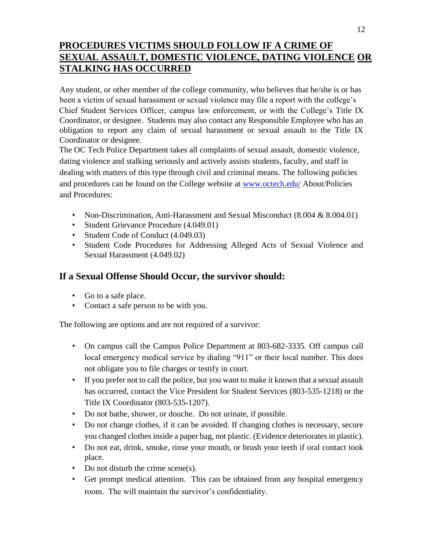### **PROCEDURES VICTIMS SHOULD FOLLOW IF A CRIME OF SEXUAL ASSAULT, DOMESTIC VIOLENCE, DATING VIOLENCE OR STALKING HAS OCCURRED**

Any student, or other member of the college community, who believes that he/she is or has been a victim of sexual harassment or sexual violence may file a report with the college's Chief Student Services Officer, campus law enforcement, or with the College's Title IX Coordinator, or designee. Students may also contact any Responsible Employee who has an obligation to report any claim of sexual harassment or sexual assault to the Title IX Coordinator or designee.

The OC Tech Police Department takes all complaints of sexual assault, domestic violence, dating violence and stalking seriously and actively assists students, faculty, and staff in dealing with matters of this type through civil and criminal means. The following policies and procedures can be found on the College website at [www.octech.edu/](http://www.octech.edu/) [A](http://www.octech.edu/)bout/Policies and Procedures:

- Non-Discrimination, Anti-Harassment and Sexual Misconduct (8.004 & 8.004.01)
- Student Grievance Procedure (4.049.01)
- Student Code of Conduct (4.049.03)
- Student Code Procedures for Addressing Alleged Acts of Sexual Violence and Sexual Harassment (4.049.02)

### **If a Sexual Offense Should Occur, the survivor should:**

- Go to a safe place.
- Contact a safe person to be with you.

The following are options and are not required of a survivor:

- On campus call the Campus Police Department at 803-682-3335. Off campus call local emergency medical service by dialing "911" or their local number. This does not obligate you to file charges or testify in court.
- If you prefer not to call the police, but you want to make it known that a sexual assault has occurred, contact the Vice President for Student Services (803-535-1218) or the Title IX Coordinator (803-535-1207).
- Do not bathe, shower, or douche. Do not urinate, if possible.
- Do not change clothes, if it can be avoided. If changing clothes is necessary, secure you changed clothes inside a paper bag, not plastic. (Evidence deteriorates in plastic).
- Do not eat, drink, smoke, rinse your mouth, or brush your teeth if oral contact took place.
- Do not disturb the crime scene(s).
- Get prompt medical attention. This can be obtained from any hospital emergency room. The will maintain the survivor's confidentiality.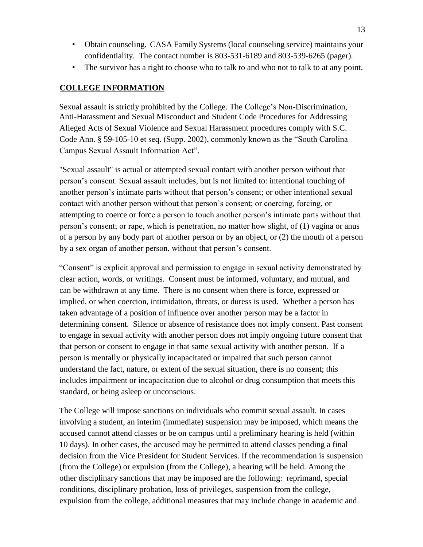- Obtain counseling. CASA Family Systems (local counseling service) maintains your confidentiality. The contact number is 803-531-6189 and 803-539-6265 (pager).
- The survivor has a right to choose who to talk to and who not to talk to at any point.

#### **COLLEGE INFORMATION**

Sexual assault is strictly prohibited by the College. The College's Non-Discrimination, Anti-Harassment and Sexual Misconduct and Student Code Procedures for Addressing Alleged Acts of Sexual Violence and Sexual Harassment procedures comply with S.C. Code Ann. § 59-105-10 et seq. (Supp. 2002), commonly known as the "South Carolina Campus Sexual Assault Information Act".

"Sexual assault" is actual or attempted sexual contact with another person without that person's consent. Sexual assault includes, but is not limited to: intentional touching of another person's intimate parts without that person's consent; or other intentional sexual contact with another person without that person's consent; or coercing, forcing, or attempting to coerce or force a person to touch another person's intimate parts without that person's consent; or rape, which is penetration, no matter how slight, of (1) vagina or anus of a person by any body part of another person or by an object, or (2) the mouth of a person by a sex organ of another person, without that person's consent.

"Consent" is explicit approval and permission to engage in sexual activity demonstrated by clear action, words, or writings. Consent must be informed, voluntary, and mutual, and can be withdrawn at any time. There is no consent when there is force, expressed or implied, or when coercion, intimidation, threats, or duress is used. Whether a person has taken advantage of a position of influence over another person may be a factor in determining consent. Silence or absence of resistance does not imply consent. Past consent to engage in sexual activity with another person does not imply ongoing future consent that that person or consent to engage in that same sexual activity with another person. If a person is mentally or physically incapacitated or impaired that such person cannot understand the fact, nature, or extent of the sexual situation, there is no consent; this includes impairment or incapacitation due to alcohol or drug consumption that meets this standard, or being asleep or unconscious.

The College will impose sanctions on individuals who commit sexual assault. In cases involving a student, an interim (immediate) suspension may be imposed, which means the accused cannot attend classes or be on campus until a preliminary hearing is held (within 10 days). In other cases, the accused may be permitted to attend classes pending a final decision from the Vice President for Student Services. If the recommendation is suspension (from the College) or expulsion (from the College), a hearing will be held. Among the other disciplinary sanctions that may be imposed are the following: reprimand, special conditions, disciplinary probation, loss of privileges, suspension from the college, expulsion from the college, additional measures that may include change in academic and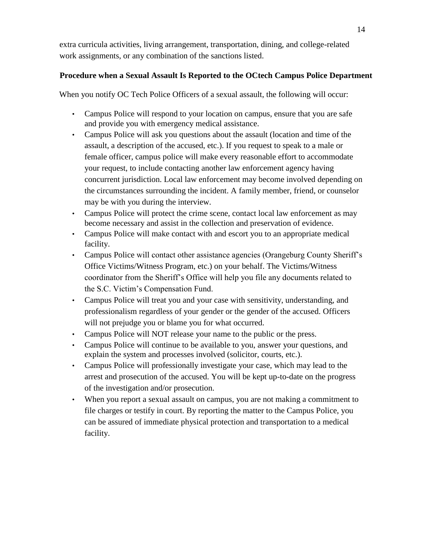extra curricula activities, living arrangement, transportation, dining, and college-related work assignments, or any combination of the sanctions listed.

### **Procedure when a Sexual Assault Is Reported to the OCtech Campus Police Department**

When you notify OC Tech Police Officers of a sexual assault, the following will occur:

- Campus Police will respond to your location on campus, ensure that you are safe and provide you with emergency medical assistance.
- Campus Police will ask you questions about the assault (location and time of the assault, a description of the accused, etc.). If you request to speak to a male or female officer, campus police will make every reasonable effort to accommodate your request, to include contacting another law enforcement agency having concurrent jurisdiction. Local law enforcement may become involved depending on the circumstances surrounding the incident. A family member, friend, or counselor may be with you during the interview.
- Campus Police will protect the crime scene, contact local law enforcement as may become necessary and assist in the collection and preservation of evidence.
- Campus Police will make contact with and escort you to an appropriate medical facility.
- Campus Police will contact other assistance agencies (Orangeburg County Sheriff's Office Victims/Witness Program, etc.) on your behalf. The Victims/Witness coordinator from the Sheriff's Office will help you file any documents related to the S.C. Victim's Compensation Fund.
- Campus Police will treat you and your case with sensitivity, understanding, and professionalism regardless of your gender or the gender of the accused. Officers will not prejudge you or blame you for what occurred.
- Campus Police will NOT release your name to the public or the press.
- Campus Police will continue to be available to you, answer your questions, and explain the system and processes involved (solicitor, courts, etc.).
- Campus Police will professionally investigate your case, which may lead to the arrest and prosecution of the accused. You will be kept up-to-date on the progress of the investigation and/or prosecution.
- When you report a sexual assault on campus, you are not making a commitment to file charges or testify in court. By reporting the matter to the Campus Police, you can be assured of immediate physical protection and transportation to a medical facility.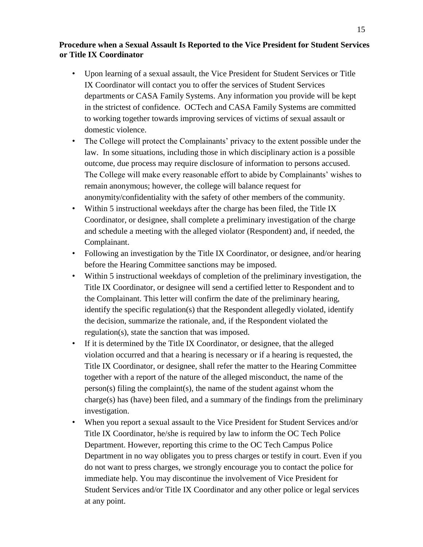### **Procedure when a Sexual Assault Is Reported to the Vice President for Student Services or Title IX Coordinator**

- Upon learning of a sexual assault, the Vice President for Student Services or Title IX Coordinator will contact you to offer the services of Student Services departments or CASA Family Systems. Any information you provide will be kept in the strictest of confidence. OCTech and CASA Family Systems are committed to working together towards improving services of victims of sexual assault or domestic violence.
- The College will protect the Complainants' privacy to the extent possible under the law. In some situations, including those in which disciplinary action is a possible outcome, due process may require disclosure of information to persons accused. The College will make every reasonable effort to abide by Complainants' wishes to remain anonymous; however, the college will balance request for anonymity/confidentiality with the safety of other members of the community.
- Within 5 instructional weekdays after the charge has been filed, the Title IX Coordinator, or designee, shall complete a preliminary investigation of the charge and schedule a meeting with the alleged violator (Respondent) and, if needed, the Complainant.
- Following an investigation by the Title IX Coordinator, or designee, and/or hearing before the Hearing Committee sanctions may be imposed.
- Within 5 instructional weekdays of completion of the preliminary investigation, the Title IX Coordinator, or designee will send a certified letter to Respondent and to the Complainant. This letter will confirm the date of the preliminary hearing, identify the specific regulation(s) that the Respondent allegedly violated, identify the decision, summarize the rationale, and, if the Respondent violated the regulation(s), state the sanction that was imposed.
- If it is determined by the Title IX Coordinator, or designee, that the alleged violation occurred and that a hearing is necessary or if a hearing is requested, the Title IX Coordinator, or designee, shall refer the matter to the Hearing Committee together with a report of the nature of the alleged misconduct, the name of the person(s) filing the complaint(s), the name of the student against whom the charge(s) has (have) been filed, and a summary of the findings from the preliminary investigation.
- When you report a sexual assault to the Vice President for Student Services and/or Title IX Coordinator, he/she is required by law to inform the OC Tech Police Department. However, reporting this crime to the OC Tech Campus Police Department in no way obligates you to press charges or testify in court. Even if you do not want to press charges, we strongly encourage you to contact the police for immediate help. You may discontinue the involvement of Vice President for Student Services and/or Title IX Coordinator and any other police or legal services at any point.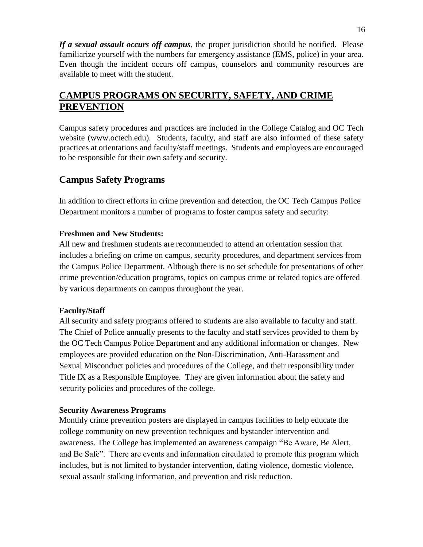*If a sexual assault occurs off campus*, the proper jurisdiction should be notified. Please familiarize yourself with the numbers for emergency assistance (EMS, police) in your area. Even though the incident occurs off campus, counselors and community resources are available to meet with the student.

### **CAMPUS PROGRAMS ON SECURITY, SAFETY, AND CRIME PREVENTION**

Campus safety procedures and practices are included in the College Catalog and OC Tech website (www.octech.edu). Students, faculty, and staff are also informed of these safety practices at orientations and faculty/staff meetings. Students and employees are encouraged to be responsible for their own safety and security.

### **Campus Safety Programs**

In addition to direct efforts in crime prevention and detection, the OC Tech Campus Police Department monitors a number of programs to foster campus safety and security:

### **Freshmen and New Students:**

All new and freshmen students are recommended to attend an orientation session that includes a briefing on crime on campus, security procedures, and department services from the Campus Police Department. Although there is no set schedule for presentations of other crime prevention/education programs, topics on campus crime or related topics are offered by various departments on campus throughout the year.

### **Faculty/Staff**

All security and safety programs offered to students are also available to faculty and staff. The Chief of Police annually presents to the faculty and staff services provided to them by the OC Tech Campus Police Department and any additional information or changes. New employees are provided education on the Non-Discrimination, Anti-Harassment and Sexual Misconduct policies and procedures of the College, and their responsibility under Title IX as a Responsible Employee. They are given information about the safety and security policies and procedures of the college.

### **Security Awareness Programs**

Monthly crime prevention posters are displayed in campus facilities to help educate the college community on new prevention techniques and bystander intervention and awareness. The College has implemented an awareness campaign "Be Aware, Be Alert, and Be Safe". There are events and information circulated to promote this program which includes, but is not limited to bystander intervention, dating violence, domestic violence, sexual assault stalking information, and prevention and risk reduction.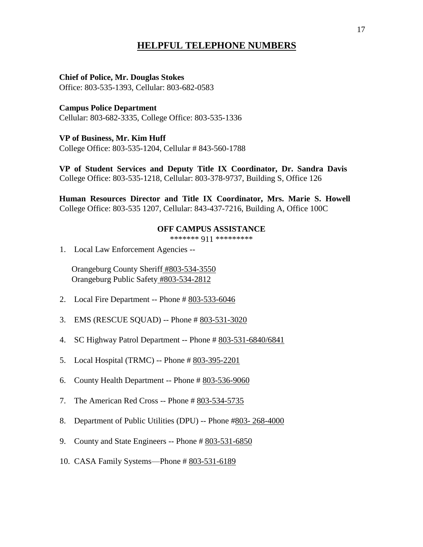### **HELPFUL TELEPHONE NUMBERS**

#### **Chief of Police, Mr. Douglas Stokes** Office: 803-535-1393, Cellular: 803-682-0583

**Campus Police Department** Cellular: 803-682-3335, College Office: 803-535-1336

**VP of Business, Mr. Kim Huff** College Office: 803-535-1204, Cellular # 843-560-1788

**VP of Student Services and Deputy Title IX Coordinator, Dr. Sandra Davis** College Office: 803-535-1218, Cellular: 803-378-9737, Building S, Office 126

**Human Resources Director and Title IX Coordinator, Mrs. Marie S. Howell** College Office: 803-535 1207, Cellular: 843-437-7216, Building A, Office 100C

#### **OFF CAMPUS ASSISTANCE**

\*\*\*\*\*\*\* 911 \*\*\*\*\*\*\*\*\*

1. Local Law Enforcement Agencies --

 Orangeburg County Sheriff #803-534-3550 Orangeburg Public Safety #803-534-2812

- 2. Local Fire Department -- Phone # 803-533-6046
- 3. EMS (RESCUE SQUAD) -- Phone # 803-531-3020
- 4. SC Highway Patrol Department -- Phone # 803-531-6840/6841
- 5. Local Hospital (TRMC) -- Phone # 803-395-2201
- 6. County Health Department -- Phone # 803-536-9060
- 7. The American Red Cross -- Phone # 803-534-5735
- 8. Department of Public Utilities (DPU) -- Phone #803- 268-4000
- 9. County and State Engineers -- Phone # 803-531-6850
- 10. CASA Family Systems—Phone # 803-531-6189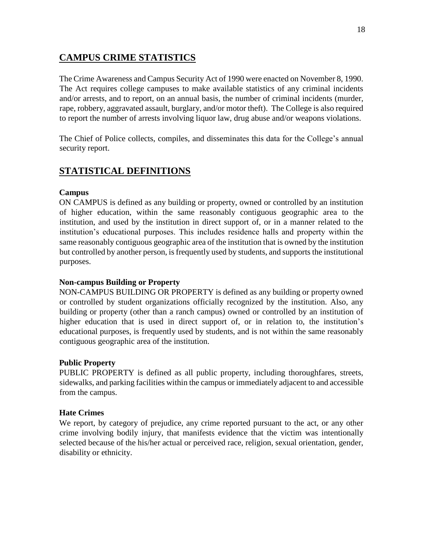### **CAMPUS CRIME STATISTICS**

The Crime Awareness and Campus Security Act of 1990 were enacted on November 8, 1990. The Act requires college campuses to make available statistics of any criminal incidents and/or arrests, and to report, on an annual basis, the number of criminal incidents (murder, rape, robbery, aggravated assault, burglary, and/or motor theft). The College is also required to report the number of arrests involving liquor law, drug abuse and/or weapons violations.

The Chief of Police collects, compiles, and disseminates this data for the College's annual security report.

### **STATISTICAL DEFINITIONS**

### **Campus**

ON CAMPUS is defined as any building or property, owned or controlled by an institution of higher education, within the same reasonably contiguous geographic area to the institution, and used by the institution in direct support of, or in a manner related to the institution's educational purposes. This includes residence halls and property within the same reasonably contiguous geographic area of the institution that is owned by the institution but controlled by another person, is frequently used by students, and supports the institutional purposes.

### **Non-campus Building or Property**

NON-CAMPUS BUILDING OR PROPERTY is defined as any building or property owned or controlled by student organizations officially recognized by the institution. Also, any building or property (other than a ranch campus) owned or controlled by an institution of higher education that is used in direct support of, or in relation to, the institution's educational purposes, is frequently used by students, and is not within the same reasonably contiguous geographic area of the institution.

### **Public Property**

PUBLIC PROPERTY is defined as all public property, including thoroughfares, streets, sidewalks, and parking facilities within the campus or immediately adjacent to and accessible from the campus.

### **Hate Crimes**

We report, by category of prejudice, any crime reported pursuant to the act, or any other crime involving bodily injury, that manifests evidence that the victim was intentionally selected because of the his/her actual or perceived race, religion, sexual orientation, gender, disability or ethnicity.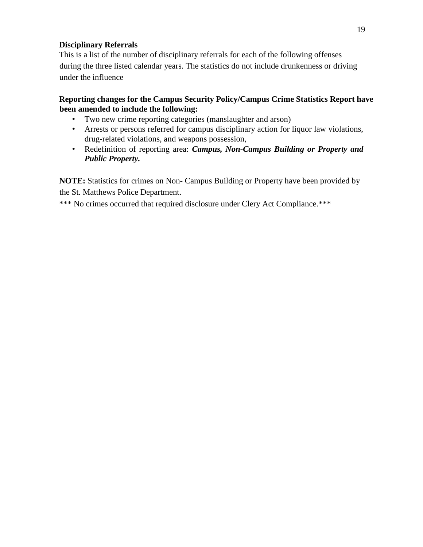### **Disciplinary Referrals**

This is a list of the number of disciplinary referrals for each of the following offenses during the three listed calendar years. The statistics do not include drunkenness or driving under the influence

### **Reporting changes for the Campus Security Policy/Campus Crime Statistics Report have been amended to include the following:**

- Two new crime reporting categories (manslaughter and arson)
- Arrests or persons referred for campus disciplinary action for liquor law violations, drug-related violations, and weapons possession,
- Redefinition of reporting area: *Campus, Non-Campus Building or Property and Public Property.*

**NOTE:** Statistics for crimes on Non- Campus Building or Property have been provided by the St. Matthews Police Department.

\*\*\* No crimes occurred that required disclosure under Clery Act Compliance.\*\*\*